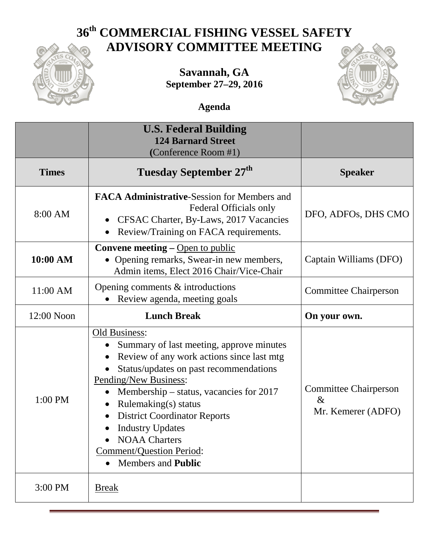## **36th COMMERCIAL FISHING VESSEL SAFETY ADVISORY COMMITTEE MEETING**



**Savannah, GA September 27–29, 2016**



**Agenda**

|              | <b>U.S. Federal Building</b><br><b>124 Barnard Street</b><br>(Conference Room #1)                                                                                                                                                                                                                                                                                                                                                                                               |                                                            |
|--------------|---------------------------------------------------------------------------------------------------------------------------------------------------------------------------------------------------------------------------------------------------------------------------------------------------------------------------------------------------------------------------------------------------------------------------------------------------------------------------------|------------------------------------------------------------|
| <b>Times</b> | <b>Tuesday September 27th</b>                                                                                                                                                                                                                                                                                                                                                                                                                                                   | <b>Speaker</b>                                             |
| 8:00 AM      | <b>FACA Administrative-Session for Members and</b><br>Federal Officials only<br>CFSAC Charter, By-Laws, 2017 Vacancies<br>Review/Training on FACA requirements.                                                                                                                                                                                                                                                                                                                 | DFO, ADFOs, DHS CMO                                        |
| 10:00 AM     | <b>Convene meeting – Open to public</b><br>• Opening remarks, Swear-in new members,<br>Admin items, Elect 2016 Chair/Vice-Chair                                                                                                                                                                                                                                                                                                                                                 | Captain Williams (DFO)                                     |
| 11:00 AM     | Opening comments $&$ introductions<br>Review agenda, meeting goals                                                                                                                                                                                                                                                                                                                                                                                                              | <b>Committee Chairperson</b>                               |
| 12:00 Noon   | <b>Lunch Break</b>                                                                                                                                                                                                                                                                                                                                                                                                                                                              | On your own.                                               |
| 1:00 PM      | Old Business:<br>Summary of last meeting, approve minutes<br>$\bullet$<br>Review of any work actions since last mtg<br>$\bullet$<br>Status/updates on past recommendations<br>$\bullet$<br>Pending/New Business:<br>Membership – status, vacancies for 2017<br>Rulemaking(s) status<br>$\bullet$<br><b>District Coordinator Reports</b><br>$\bullet$<br><b>Industry Updates</b><br>$\bullet$<br><b>NOAA Charters</b><br>Comment/Question Period:<br>• Members and <b>Public</b> | <b>Committee Chairperson</b><br>$\&$<br>Mr. Kemerer (ADFO) |
| 3:00 PM      | <b>Break</b>                                                                                                                                                                                                                                                                                                                                                                                                                                                                    |                                                            |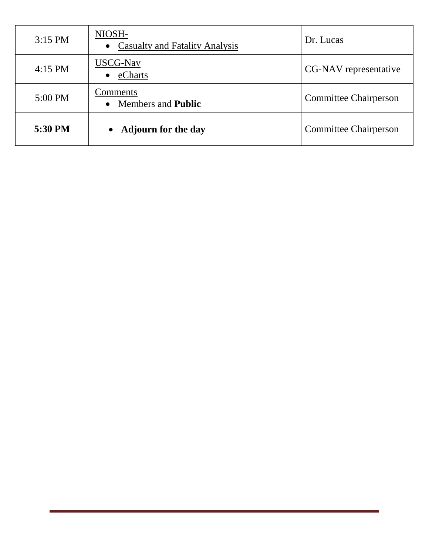| $3:15$ PM | NIOSH-<br>• Casualty and Fatality Analysis | Dr. Lucas                    |
|-----------|--------------------------------------------|------------------------------|
| $4:15$ PM | USCG-Nav<br>eCharts<br>$\bullet$           | CG-NAV representative        |
| 5:00 PM   | Comments<br>• Members and <b>Public</b>    | <b>Committee Chairperson</b> |
| 5:30 PM   | <b>Adjourn for the day</b>                 | <b>Committee Chairperson</b> |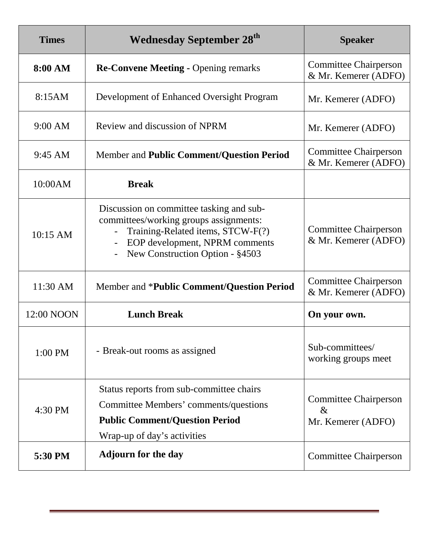| <b>Times</b> | <b>Wednesday September 28th</b>                                                                                                                                                              | <b>Speaker</b>                                             |
|--------------|----------------------------------------------------------------------------------------------------------------------------------------------------------------------------------------------|------------------------------------------------------------|
| 8:00 AM      | <b>Re-Convene Meeting - Opening remarks</b>                                                                                                                                                  | <b>Committee Chairperson</b><br>& Mr. Kemerer (ADFO)       |
| 8:15AM       | Development of Enhanced Oversight Program                                                                                                                                                    | Mr. Kemerer (ADFO)                                         |
| $9:00$ AM    | Review and discussion of NPRM                                                                                                                                                                | Mr. Kemerer (ADFO)                                         |
| 9:45 AM      | Member and Public Comment/Question Period                                                                                                                                                    | <b>Committee Chairperson</b><br>& Mr. Kemerer (ADFO)       |
| 10:00AM      | <b>Break</b>                                                                                                                                                                                 |                                                            |
| 10:15 AM     | Discussion on committee tasking and sub-<br>committees/working groups assignments:<br>Training-Related items, STCW-F(?)<br>EOP development, NPRM comments<br>New Construction Option - §4503 | <b>Committee Chairperson</b><br>& Mr. Kemerer (ADFO)       |
| 11:30 AM     | Member and * <b>Public Comment/Question Period</b>                                                                                                                                           | <b>Committee Chairperson</b><br>& Mr. Kemerer (ADFO)       |
| 12:00 NOON   | <b>Lunch Break</b>                                                                                                                                                                           | On your own.                                               |
| 1:00 PM      | - Break-out rooms as assigned                                                                                                                                                                | Sub-committees/<br>working groups meet                     |
| 4:30 PM      | Status reports from sub-committee chairs<br>Committee Members' comments/questions<br><b>Public Comment/Question Period</b><br>Wrap-up of day's activities                                    | <b>Committee Chairperson</b><br>$\&$<br>Mr. Kemerer (ADFO) |
| 5:30 PM      | <b>Adjourn for the day</b>                                                                                                                                                                   | <b>Committee Chairperson</b>                               |